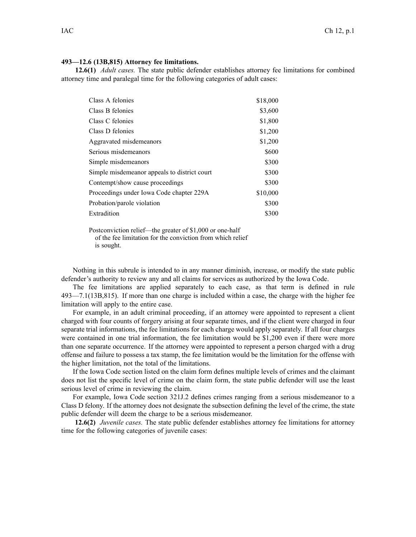## **493—12.6 (13B,815) Attorney fee limitations.**

**12.6(1)** *Adult cases.* The state public defender establishes attorney fee limitations for combined attorney time and paralegal time for the following categories of adult cases:

| Class A felonies                             | \$18,000 |
|----------------------------------------------|----------|
| Class B felonies                             | \$3,600  |
| Class C felonies                             | \$1,800  |
| Class D felonies                             | \$1,200  |
| Aggravated misdemeanors                      | \$1,200  |
| Serious misdemeanors                         | \$600    |
| Simple misdemeanors                          | \$300    |
| Simple misdemeanor appeals to district court | \$300    |
| Contempt/show cause proceedings              | \$300    |
| Proceedings under Iowa Code chapter 229A     | \$10,000 |
| Probation/parole violation                   | \$300    |
| Extradition                                  | \$300    |

Postconviction relief—the greater of \$1,000 or one-half of the fee limitation for the conviction from which relief is sought.

Nothing in this subrule is intended to in any manner diminish, increase, or modify the state public defender's authority to review any and all claims for services as authorized by the Iowa Code.

The fee limitations are applied separately to each case, as that term is defined in rule 493—7.1(13B,815). If more than one charge is included within <sup>a</sup> case, the charge with the higher fee limitation will apply to the entire case.

For example, in an adult criminal proceeding, if an attorney were appointed to represen<sup>t</sup> <sup>a</sup> client charged with four counts of forgery arising at four separate times, and if the client were charged in four separate trial informations, the fee limitations for each charge would apply separately. If all four charges were contained in one trial information, the fee limitation would be \$1,200 even if there were more than one separate occurrence. If the attorney were appointed to represen<sup>t</sup> <sup>a</sup> person charged with <sup>a</sup> drug offense and failure to possess <sup>a</sup> tax stamp, the fee limitation would be the limitation for the offense with the higher limitation, not the total of the limitations.

If the Iowa Code section listed on the claim form defines multiple levels of crimes and the claimant does not list the specific level of crime on the claim form, the state public defender will use the least serious level of crime in reviewing the claim.

For example, Iowa Code section [321J.2](https://www.legis.iowa.gov/docs/ico/section/321J.2.pdf) defines crimes ranging from <sup>a</sup> serious misdemeanor to <sup>a</sup> Class D felony. If the attorney does not designate the subsection defining the level of the crime, the state public defender will deem the charge to be <sup>a</sup> serious misdemeanor.

**12.6(2)** *Juvenile cases.* The state public defender establishes attorney fee limitations for attorney time for the following categories of juvenile cases: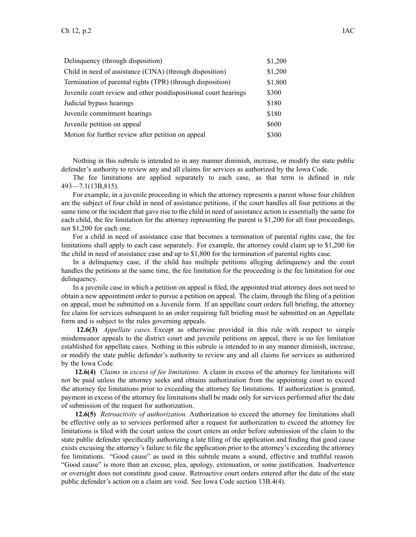| Delinquency (through disposition)                                | \$1,200 |
|------------------------------------------------------------------|---------|
| Child in need of assistance (CINA) (through disposition)         | \$1,200 |
| Termination of parental rights (TPR) (through disposition)       | \$1,800 |
| Juvenile court review and other postdispositional court hearings | \$300   |
| Judicial bypass hearings                                         | \$180   |
| Juvenile commitment hearings                                     | \$180   |
| Juvenile petition on appeal                                      | \$600   |
| Motion for further review after petition on appeal               | \$300   |

Nothing in this subrule is intended to in any manner diminish, increase, or modify the state public defender's authority to review any and all claims for services as authorized by the Iowa Code.

The fee limitations are applied separately to each case, as that term is defined in rule 493—7.1(13B,815).

For example, in <sup>a</sup> juvenile proceeding in which the attorney represents <sup>a</sup> paren<sup>t</sup> whose four children are the subject of four child in need of assistance petitions, if the court handles all four petitions at the same time or the incident that gave rise to the child in need of assistance action is essentially the same for each child, the fee limitation for the attorney representing the paren<sup>t</sup> is \$1,200 for all four proceedings, not \$1,200 for each one.

For <sup>a</sup> child in need of assistance case that becomes <sup>a</sup> termination of parental rights case, the fee limitations shall apply to each case separately. For example, the attorney could claim up to \$1,200 for the child in need of assistance case and up to \$1,800 for the termination of parental rights case.

In <sup>a</sup> delinquency case, if the child has multiple petitions alleging delinquency and the court handles the petitions at the same time, the fee limitation for the proceeding is the fee limitation for one delinquency.

In <sup>a</sup> juvenile case in which <sup>a</sup> petition on appeal is filed, the appointed trial attorney does not need to obtain <sup>a</sup> new appointment order to pursue <sup>a</sup> petition on appeal. The claim, through the filing of <sup>a</sup> petition on appeal, must be submitted on <sup>a</sup> Juvenile form. If an appellate court orders full briefing, the attorney fee claim for services subsequent to an order requiring full briefing must be submitted on an Appellate form and is subject to the rules governing appeals.

**12.6(3)** *Appellate cases.* Except as otherwise provided in this rule with respec<sup>t</sup> to simple misdemeanor appeals to the district court and juvenile petitions on appeal, there is no fee limitation established for appellate cases. Nothing in this subrule is intended to in any manner diminish, increase, or modify the state public defender's authority to review any and all claims for services as authorized by the Iowa Code.

**12.6(4)** *Claims in excess of fee limitations.* A claim in excess of the attorney fee limitations will not be paid unless the attorney seeks and obtains authorization from the appointing court to exceed the attorney fee limitations prior to exceeding the attorney fee limitations. If authorization is granted, paymen<sup>t</sup> in excess of the attorney fee limitations shall be made only for services performed after the date of submission of the reques<sup>t</sup> for authorization.

**12.6(5)** *Retroactivity of authorization.* Authorization to exceed the attorney fee limitations shall be effective only as to services performed after <sup>a</sup> reques<sup>t</sup> for authorization to exceed the attorney fee limitations is filed with the court unless the court enters an order before submission of the claim to the state public defender specifically authorizing <sup>a</sup> late filing of the application and finding that good cause exists excusing the attorney's failure to file the application prior to the attorney's exceeding the attorney fee limitations. "Good cause" as used in this subrule means <sup>a</sup> sound, effective and truthful reason. "Good cause" is more than an excuse, plea, apology, extenuation, or some justification. Inadvertence or oversight does not constitute good cause. Retroactive court orders entered after the date of the state public defender's action on <sup>a</sup> claim are void. See Iowa Code section [13B.4\(4\)](https://www.legis.iowa.gov/docs/ico/section/13B.4.pdf).